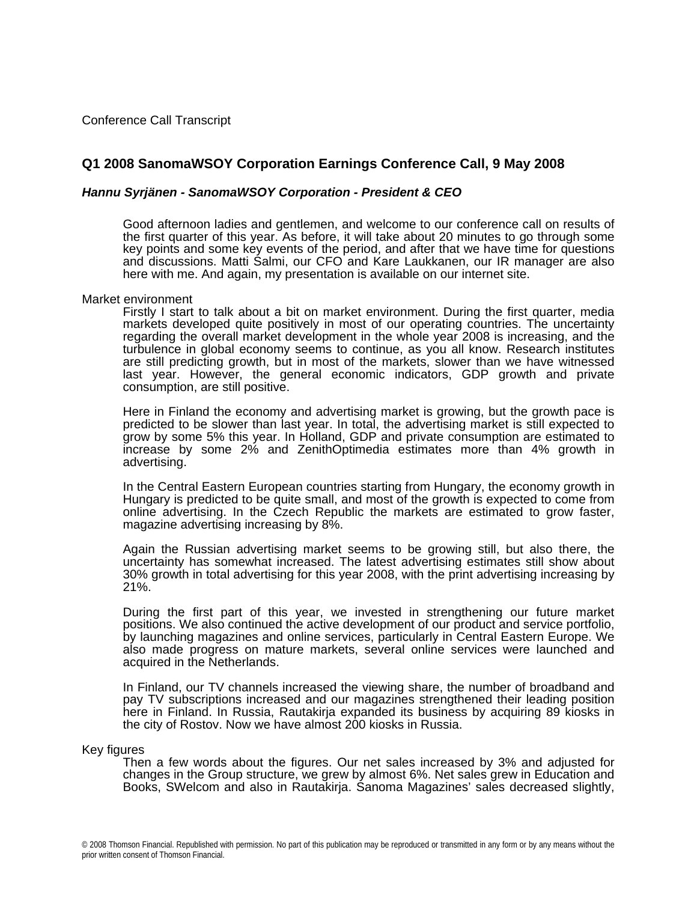Conference Call Transcript

# **Q1 2008 SanomaWSOY Corporation Earnings Conference Call, 9 May 2008**

## *Hannu Syrjänen - SanomaWSOY Corporation - President & CEO*

Good afternoon ladies and gentlemen, and welcome to our conference call on results of the first quarter of this year. As before, it will take about 20 minutes to go through some key points and some key events of the period, and after that we have time for questions and discussions. Matti Salmi, our CFO and Kare Laukkanen, our IR manager are also here with me. And again, my presentation is available on our internet site.

#### Market environment

Firstly I start to talk about a bit on market environment. During the first quarter, media markets developed quite positively in most of our operating countries. The uncertainty regarding the overall market development in the whole year 2008 is increasing, and the turbulence in global economy seems to continue, as you all know. Research institutes are still predicting growth, but in most of the markets, slower than we have witnessed last year. However, the general economic indicators, GDP growth and private consumption, are still positive.

Here in Finland the economy and advertising market is growing, but the growth pace is predicted to be slower than last year. In total, the advertising market is still expected to grow by some 5% this year. In Holland, GDP and private consumption are estimated to increase by some 2% and ZenithOptimedia estimates more than 4% growth in advertising.

In the Central Eastern European countries starting from Hungary, the economy growth in Hungary is predicted to be quite small, and most of the growth is expected to come from online advertising. In the Czech Republic the markets are estimated to grow faster, magazine advertising increasing by 8%.

Again the Russian advertising market seems to be growing still, but also there, the uncertainty has somewhat increased. The latest advertising estimates still show about 30% growth in total advertising for this year 2008, with the print advertising increasing by 21%.

During the first part of this year, we invested in strengthening our future market positions. We also continued the active development of our product and service portfolio, by launching magazines and online services, particularly in Central Eastern Europe. We also made progress on mature markets, several online services were launched and acquired in the Netherlands.

In Finland, our TV channels increased the viewing share, the number of broadband and pay TV subscriptions increased and our magazines strengthened their leading position here in Finland. In Russia, Rautakirja expanded its business by acquiring 89 kiosks in the city of Rostov. Now we have almost 200 kiosks in Russia.

#### Key figures

Then a few words about the figures. Our net sales increased by 3% and adjusted for changes in the Group structure, we grew by almost 6%. Net sales grew in Education and Books, SWelcom and also in Rautakirja. Sanoma Magazines' sales decreased slightly,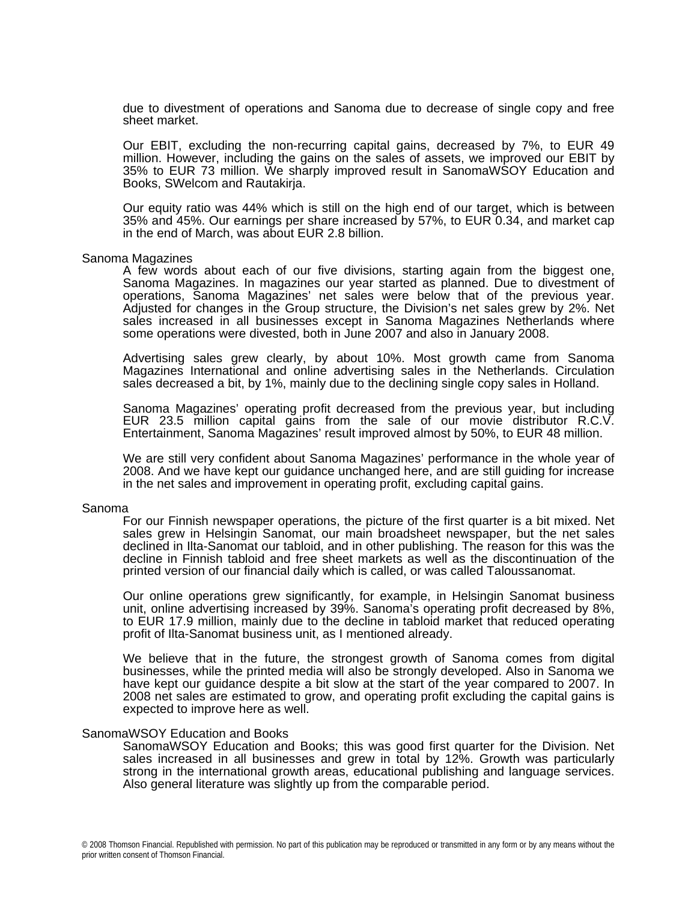due to divestment of operations and Sanoma due to decrease of single copy and free sheet market.

Our EBIT, excluding the non-recurring capital gains, decreased by 7%, to EUR 49 million. However, including the gains on the sales of assets, we improved our EBIT by 35% to EUR 73 million. We sharply improved result in SanomaWSOY Education and Books, SWelcom and Rautakirja.

Our equity ratio was 44% which is still on the high end of our target, which is between 35% and 45%. Our earnings per share increased by 57%, to EUR 0.34, and market cap in the end of March, was about EUR 2.8 billion.

#### Sanoma Magazines

A few words about each of our five divisions, starting again from the biggest one, Sanoma Magazines. In magazines our year started as planned. Due to divestment of operations, Sanoma Magazines' net sales were below that of the previous year. Adjusted for changes in the Group structure, the Division's net sales grew by 2%. Net sales increased in all businesses except in Sanoma Magazines Netherlands where some operations were divested, both in June 2007 and also in January 2008.

Advertising sales grew clearly, by about 10%. Most growth came from Sanoma Magazines International and online advertising sales in the Netherlands. Circulation sales decreased a bit, by 1%, mainly due to the declining single copy sales in Holland.

Sanoma Magazines' operating profit decreased from the previous year, but including EUR 23.5 million capital gains from the sale of our movie distributor R.C.V. Entertainment, Sanoma Magazines' result improved almost by 50%, to EUR 48 million.

We are still very confident about Sanoma Magazines' performance in the whole year of 2008. And we have kept our guidance unchanged here, and are still guiding for increase in the net sales and improvement in operating profit, excluding capital gains.

#### Sanoma

For our Finnish newspaper operations, the picture of the first quarter is a bit mixed. Net sales grew in Helsingin Sanomat, our main broadsheet newspaper, but the net sales declined in Ilta-Sanomat our tabloid, and in other publishing. The reason for this was the decline in Finnish tabloid and free sheet markets as well as the discontinuation of the printed version of our financial daily which is called, or was called Taloussanomat.

Our online operations grew significantly, for example, in Helsingin Sanomat business unit, online advertising increased by 39%. Sanoma's operating profit decreased by 8%, to EUR 17.9 million, mainly due to the decline in tabloid market that reduced operating profit of Ilta-Sanomat business unit, as I mentioned already.

We believe that in the future, the strongest growth of Sanoma comes from digital businesses, while the printed media will also be strongly developed. Also in Sanoma we have kept our guidance despite a bit slow at the start of the year compared to 2007. In 2008 net sales are estimated to grow, and operating profit excluding the capital gains is expected to improve here as well.

#### SanomaWSOY Education and Books

SanomaWSOY Education and Books; this was good first quarter for the Division. Net sales increased in all businesses and grew in total by 12%. Growth was particularly strong in the international growth areas, educational publishing and language services. Also general literature was slightly up from the comparable period.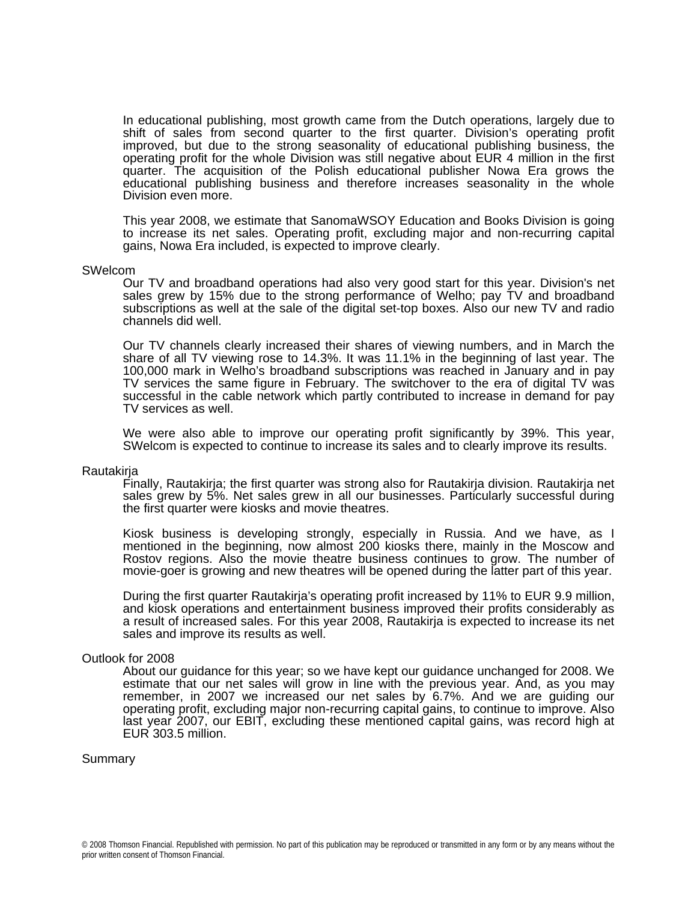In educational publishing, most growth came from the Dutch operations, largely due to shift of sales from second quarter to the first quarter. Division's operating profit improved, but due to the strong seasonality of educational publishing business, the operating profit for the whole Division was still negative about EUR 4 million in the first quarter. The acquisition of the Polish educational publisher Nowa Era grows the educational publishing business and therefore increases seasonality in the whole Division even more.

This year 2008, we estimate that SanomaWSOY Education and Books Division is going to increase its net sales. Operating profit, excluding major and non-recurring capital gains, Nowa Era included, is expected to improve clearly.

#### SWelcom

Our TV and broadband operations had also very good start for this year. Division's net sales grew by 15% due to the strong performance of Welho; pay TV and broadband subscriptions as well at the sale of the digital set-top boxes. Also our new TV and radio channels did well.

Our TV channels clearly increased their shares of viewing numbers, and in March the share of all TV viewing rose to 14.3%. It was 11.1% in the beginning of last year. The 100,000 mark in Welho's broadband subscriptions was reached in January and in pay TV services the same figure in February. The switchover to the era of digital TV was successful in the cable network which partly contributed to increase in demand for pay TV services as well.

We were also able to improve our operating profit significantly by 39%. This year, SWelcom is expected to continue to increase its sales and to clearly improve its results.

#### Rautakirja

Finally, Rautakirja; the first quarter was strong also for Rautakirja division. Rautakirja net sales grew by 5%. Net sales grew in all our businesses. Particularly successful during the first quarter were kiosks and movie theatres.

Kiosk business is developing strongly, especially in Russia. And we have, as I mentioned in the beginning, now almost 200 kiosks there, mainly in the Moscow and Rostov regions. Also the movie theatre business continues to grow. The number of movie-goer is growing and new theatres will be opened during the latter part of this year.

During the first quarter Rautakirja's operating profit increased by 11% to EUR 9.9 million, and kiosk operations and entertainment business improved their profits considerably as a result of increased sales. For this year 2008, Rautakirja is expected to increase its net sales and improve its results as well.

#### Outlook for 2008

About our guidance for this year; so we have kept our guidance unchanged for 2008. We estimate that our net sales will grow in line with the previous year. And, as you may remember, in 2007 we increased our net sales by 6.7%. And we are guiding our operating profit, excluding major non-recurring capital gains, to continue to improve. Also last year 2007, our EBIT, excluding these mentioned capital gains, was record high at EUR 303.5 million.

#### Summary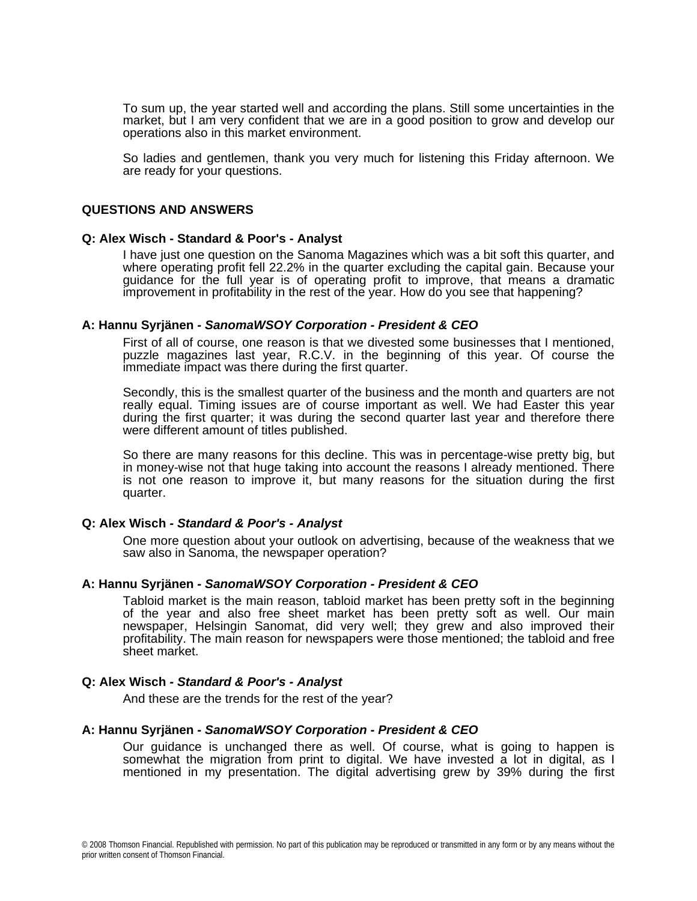To sum up, the year started well and according the plans. Still some uncertainties in the market, but I am very confident that we are in a good position to grow and develop our operations also in this market environment.

So ladies and gentlemen, thank you very much for listening this Friday afternoon. We are ready for your questions.

### **QUESTIONS AND ANSWERS**

### **Q: Alex Wisch - Standard & Poor's - Analyst**

I have just one question on the Sanoma Magazines which was a bit soft this quarter, and where operating profit fell 22.2% in the quarter excluding the capital gain. Because your guidance for the full year is of operating profit to improve, that means a dramatic improvement in profitability in the rest of the year. How do you see that happening?

#### **A: Hannu Syrjänen** *- SanomaWSOY Corporation - President & CEO*

First of all of course, one reason is that we divested some businesses that I mentioned, puzzle magazines last year, R.C.V. in the beginning of this year. Of course the immediate impact was there during the first quarter.

Secondly, this is the smallest quarter of the business and the month and quarters are not really equal. Timing issues are of course important as well. We had Easter this year during the first quarter; it was during the second quarter last year and therefore there were different amount of titles published.

So there are many reasons for this decline. This was in percentage-wise pretty big, but in money-wise not that huge taking into account the reasons I already mentioned. There is not one reason to improve it, but many reasons for the situation during the first quarter.

#### **Q: Alex Wisch** *- Standard & Poor's - Analyst*

One more question about your outlook on advertising, because of the weakness that we saw also in Sanoma, the newspaper operation?

### **A: Hannu Syrjänen** *- SanomaWSOY Corporation - President & CEO*

Tabloid market is the main reason, tabloid market has been pretty soft in the beginning of the year and also free sheet market has been pretty soft as well. Our main newspaper, Helsingin Sanomat, did very well; they grew and also improved their profitability. The main reason for newspapers were those mentioned; the tabloid and free sheet market.

### **Q: Alex Wisch** *- Standard & Poor's - Analyst*

And these are the trends for the rest of the year?

### **A: Hannu Syrjänen** *- SanomaWSOY Corporation - President & CEO*

Our guidance is unchanged there as well. Of course, what is going to happen is somewhat the migration from print to digital. We have invested a lot in digital, as I mentioned in my presentation. The digital advertising grew by 39% during the first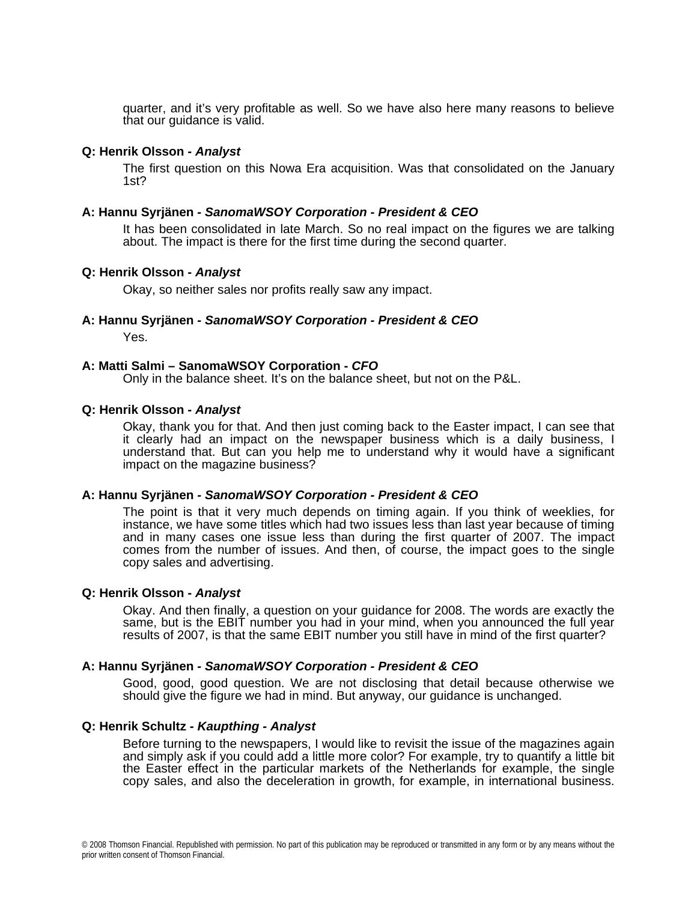quarter, and it's very profitable as well. So we have also here many reasons to believe that our guidance is valid.

## **Q: Henrik Olsson -** *Analyst*

The first question on this Nowa Era acquisition. Was that consolidated on the January 1st?

## **A: Hannu Syrjänen** *- SanomaWSOY Corporation - President & CEO*

It has been consolidated in late March. So no real impact on the figures we are talking about. The impact is there for the first time during the second quarter.

## **Q: Henrik Olsson -** *Analyst*

Okay, so neither sales nor profits really saw any impact.

## **A: Hannu Syrjänen** *- SanomaWSOY Corporation - President & CEO*

Yes.

## **A: Matti Salmi – SanomaWSOY Corporation -** *CFO*

Only in the balance sheet. It's on the balance sheet, but not on the P&L.

### **Q: Henrik Olsson -** *Analyst*

Okay, thank you for that. And then just coming back to the Easter impact, I can see that it clearly had an impact on the newspaper business which is a daily business, I understand that. But can you help me to understand why it would have a significant impact on the magazine business?

### **A: Hannu Syrjänen** *- SanomaWSOY Corporation - President & CEO*

The point is that it very much depends on timing again. If you think of weeklies, for instance, we have some titles which had two issues less than last year because of timing and in many cases one issue less than during the first quarter of 2007. The impact comes from the number of issues. And then, of course, the impact goes to the single copy sales and advertising.

### **Q: Henrik Olsson -** *Analyst*

Okay. And then finally, a question on your guidance for 2008. The words are exactly the same, but is the EBIT number you had in your mind, when you announced the full year results of 2007, is that the same EBIT number you still have in mind of the first quarter?

### **A: Hannu Syrjänen** *- SanomaWSOY Corporation - President & CEO*

Good, good, good question. We are not disclosing that detail because otherwise we should give the figure we had in mind. But anyway, our guidance is unchanged.

## **Q: Henrik Schultz** *- Kaupthing - Analyst*

Before turning to the newspapers, I would like to revisit the issue of the magazines again and simply ask if you could add a little more color? For example, try to quantify a little bit the Easter effect in the particular markets of the Netherlands for example, the single copy sales, and also the deceleration in growth, for example, in international business.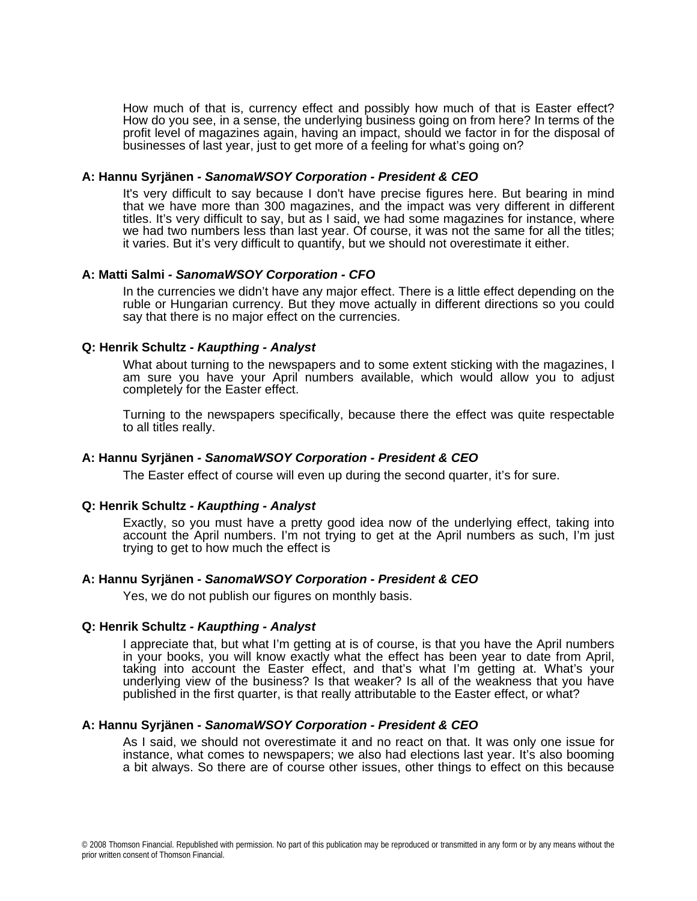How much of that is, currency effect and possibly how much of that is Easter effect? How do you see, in a sense, the underlying business going on from here? In terms of the profit level of magazines again, having an impact, should we factor in for the disposal of businesses of last year, just to get more of a feeling for what's going on?

## **A: Hannu Syrjänen** *- SanomaWSOY Corporation - President & CEO*

It's very difficult to say because I don't have precise figures here. But bearing in mind that we have more than 300 magazines, and the impact was very different in different titles. It's very difficult to say, but as I said, we had some magazines for instance, where we had two numbers less than last year. Of course, it was not the same for all the titles; it varies. But it's very difficult to quantify, but we should not overestimate it either.

## **A: Matti Salmi** *- SanomaWSOY Corporation - CFO*

In the currencies we didn't have any major effect. There is a little effect depending on the ruble or Hungarian currency. But they move actually in different directions so you could say that there is no major effect on the currencies.

## **Q: Henrik Schultz** *- Kaupthing - Analyst*

What about turning to the newspapers and to some extent sticking with the magazines, I am sure you have your April numbers available, which would allow you to adjust completely for the Easter effect.

Turning to the newspapers specifically, because there the effect was quite respectable to all titles really.

### **A: Hannu Syrjänen** *- SanomaWSOY Corporation - President & CEO*

The Easter effect of course will even up during the second quarter, it's for sure.

## **Q: Henrik Schultz** *- Kaupthing - Analyst*

Exactly, so you must have a pretty good idea now of the underlying effect, taking into account the April numbers. I'm not trying to get at the April numbers as such, I'm just trying to get to how much the effect is

## **A: Hannu Syrjänen** *- SanomaWSOY Corporation - President & CEO*

Yes, we do not publish our figures on monthly basis.

### **Q: Henrik Schultz** *- Kaupthing - Analyst*

I appreciate that, but what I'm getting at is of course, is that you have the April numbers in your books, you will know exactly what the effect has been year to date from April, taking into account the Easter effect, and that's what I'm getting at. What's your underlying view of the business? Is that weaker? Is all of the weakness that you have published in the first quarter, is that really attributable to the Easter effect, or what?

## **A: Hannu Syrjänen** *- SanomaWSOY Corporation - President & CEO*

As I said, we should not overestimate it and no react on that. It was only one issue for instance, what comes to newspapers; we also had elections last year. It's also booming a bit always. So there are of course other issues, other things to effect on this because